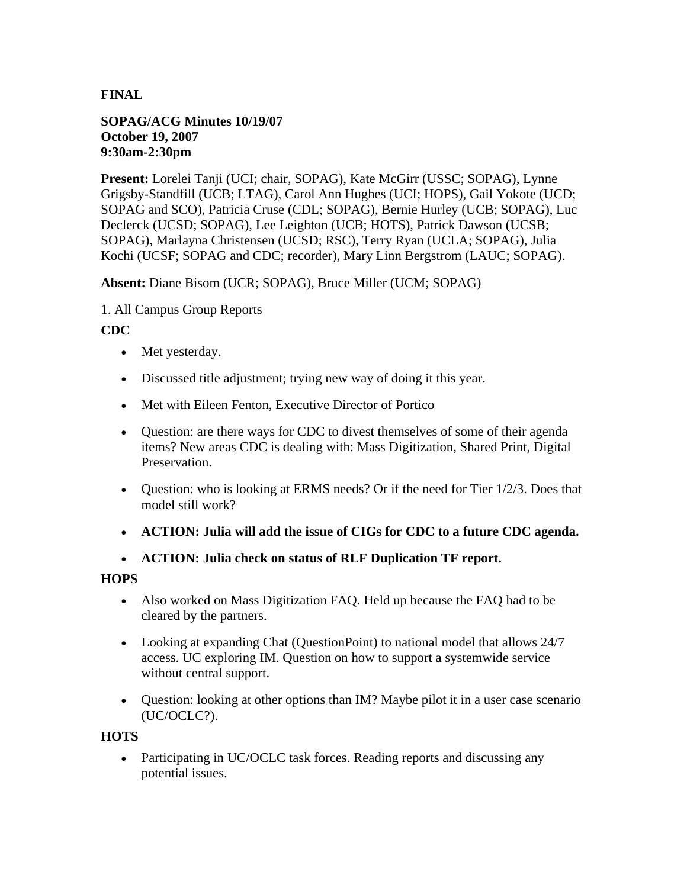## **FINAL**

#### **SOPAG/ACG Minutes 10/19/07 October 19, 2007 9:30am-2:30pm**

**Present:** Lorelei Tanji (UCI; chair, SOPAG), Kate McGirr (USSC; SOPAG), Lynne Grigsby-Standfill (UCB; LTAG), Carol Ann Hughes (UCI; HOPS), Gail Yokote (UCD; SOPAG and SCO), Patricia Cruse (CDL; SOPAG), Bernie Hurley (UCB; SOPAG), Luc Declerck (UCSD; SOPAG), Lee Leighton (UCB; HOTS), Patrick Dawson (UCSB; SOPAG), Marlayna Christensen (UCSD; RSC), Terry Ryan (UCLA; SOPAG), Julia Kochi (UCSF; SOPAG and CDC; recorder), Mary Linn Bergstrom (LAUC; SOPAG).

**Absent:** Diane Bisom (UCR; SOPAG), Bruce Miller (UCM; SOPAG)

#### 1. All Campus Group Reports

#### **CDC**

- Met yesterday.
- Discussed title adjustment; trying new way of doing it this year.
- Met with Eileen Fenton, Executive Director of Portico
- Question: are there ways for CDC to divest themselves of some of their agenda items? New areas CDC is dealing with: Mass Digitization, Shared Print, Digital Preservation.
- Question: who is looking at ERMS needs? Or if the need for Tier  $1/2/3$ . Does that model still work?
- **ACTION: Julia will add the issue of CIGs for CDC to a future CDC agenda.**
- **ACTION: Julia check on status of RLF Duplication TF report.**

#### **HOPS**

- Also worked on Mass Digitization FAQ. Held up because the FAQ had to be cleared by the partners.
- Looking at expanding Chat (QuestionPoint) to national model that allows 24/7 access. UC exploring IM. Question on how to support a systemwide service without central support.
- Question: looking at other options than IM? Maybe pilot it in a user case scenario (UC/OCLC?).

#### **HOTS**

• Participating in UC/OCLC task forces. Reading reports and discussing any potential issues.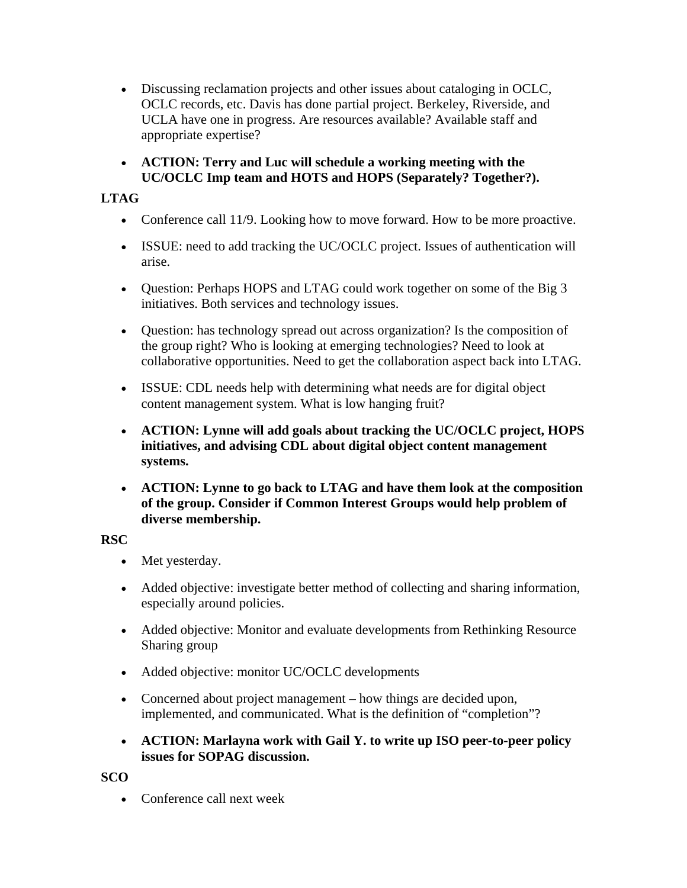- Discussing reclamation projects and other issues about cataloging in OCLC, OCLC records, etc. Davis has done partial project. Berkeley, Riverside, and UCLA have one in progress. Are resources available? Available staff and appropriate expertise?
- **ACTION: Terry and Luc will schedule a working meeting with the UC/OCLC Imp team and HOTS and HOPS (Separately? Together?).**

## **LTAG**

- Conference call 11/9. Looking how to move forward. How to be more proactive.
- ISSUE: need to add tracking the UC/OCLC project. Issues of authentication will arise.
- Question: Perhaps HOPS and LTAG could work together on some of the Big 3 initiatives. Both services and technology issues.
- Question: has technology spread out across organization? Is the composition of the group right? Who is looking at emerging technologies? Need to look at collaborative opportunities. Need to get the collaboration aspect back into LTAG.
- ISSUE: CDL needs help with determining what needs are for digital object content management system. What is low hanging fruit?
- **ACTION: Lynne will add goals about tracking the UC/OCLC project, HOPS initiatives, and advising CDL about digital object content management systems.**
- **ACTION: Lynne to go back to LTAG and have them look at the composition of the group. Consider if Common Interest Groups would help problem of diverse membership.**

### **RSC**

- Met yesterday.
- Added objective: investigate better method of collecting and sharing information, especially around policies.
- Added objective: Monitor and evaluate developments from Rethinking Resource Sharing group
- Added objective: monitor UC/OCLC developments
- Concerned about project management how things are decided upon, implemented, and communicated. What is the definition of "completion"?
- **ACTION: Marlayna work with Gail Y. to write up ISO peer-to-peer policy issues for SOPAG discussion.**

**SCO**

• Conference call next week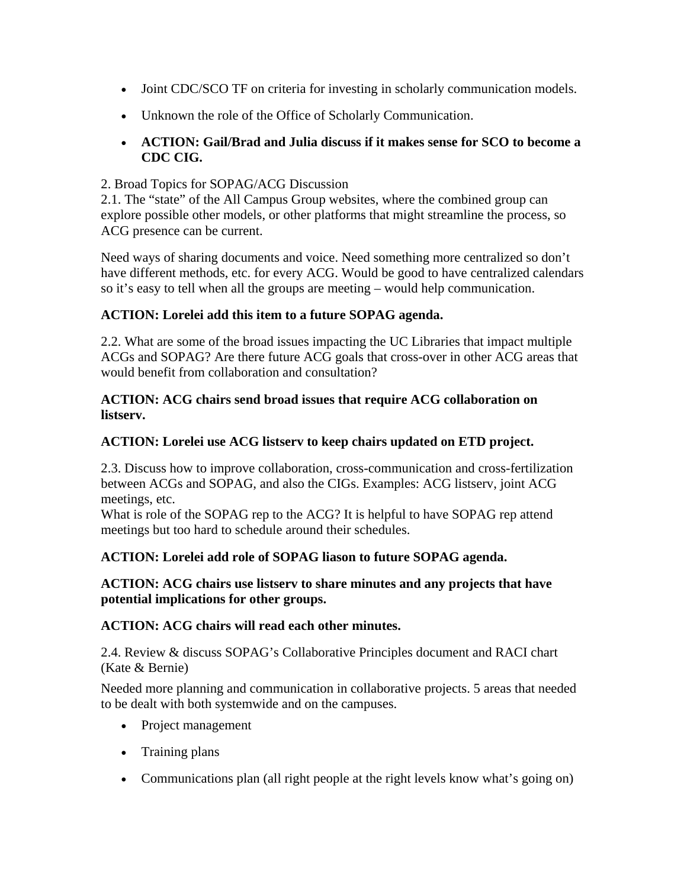- Joint CDC/SCO TF on criteria for investing in scholarly communication models.
- Unknown the role of the Office of Scholarly Communication.
- **ACTION: Gail/Brad and Julia discuss if it makes sense for SCO to become a CDC CIG.**

### 2. Broad Topics for SOPAG/ACG Discussion

2.1. The "state" of the All Campus Group websites, where the combined group can explore possible other models, or other platforms that might streamline the process, so ACG presence can be current.

Need ways of sharing documents and voice. Need something more centralized so don't have different methods, etc. for every ACG. Would be good to have centralized calendars so it's easy to tell when all the groups are meeting – would help communication.

## **ACTION: Lorelei add this item to a future SOPAG agenda.**

2.2. What are some of the broad issues impacting the UC Libraries that impact multiple ACGs and SOPAG? Are there future ACG goals that cross-over in other ACG areas that would benefit from collaboration and consultation?

#### **ACTION: ACG chairs send broad issues that require ACG collaboration on listserv.**

## **ACTION: Lorelei use ACG listserv to keep chairs updated on ETD project.**

2.3. Discuss how to improve collaboration, cross-communication and cross-fertilization between ACGs and SOPAG, and also the CIGs. Examples: ACG listserv, joint ACG meetings, etc.

What is role of the SOPAG rep to the ACG? It is helpful to have SOPAG rep attend meetings but too hard to schedule around their schedules.

# **ACTION: Lorelei add role of SOPAG liason to future SOPAG agenda.**

### **ACTION: ACG chairs use listserv to share minutes and any projects that have potential implications for other groups.**

### **ACTION: ACG chairs will read each other minutes.**

2.4. Review & discuss SOPAG's Collaborative Principles document and RACI chart (Kate & Bernie)

Needed more planning and communication in collaborative projects. 5 areas that needed to be dealt with both systemwide and on the campuses.

- Project management
- Training plans
- Communications plan (all right people at the right levels know what's going on)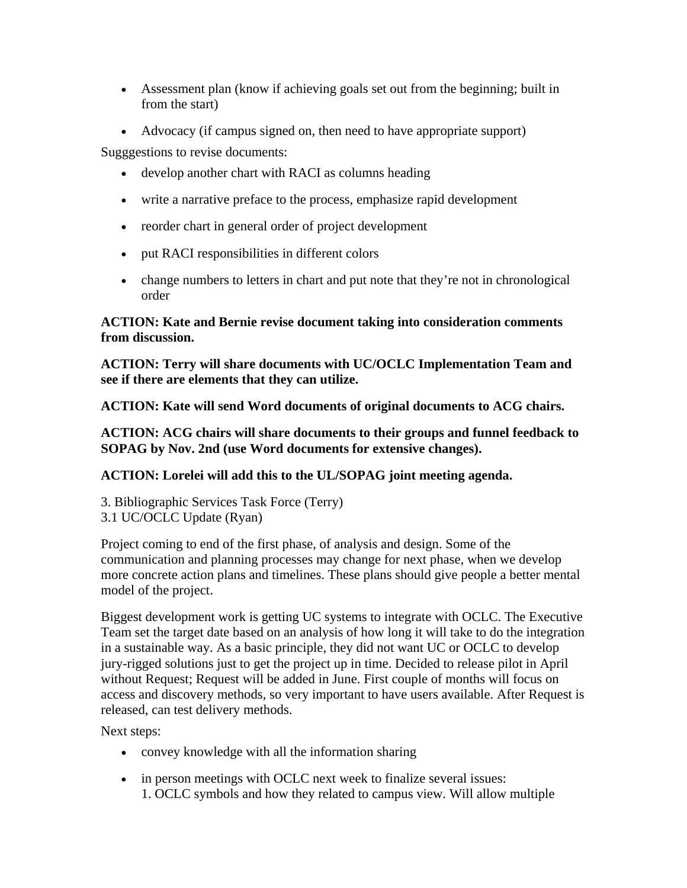- Assessment plan (know if achieving goals set out from the beginning; built in from the start)
- Advocacy (if campus signed on, then need to have appropriate support)

Sugggestions to revise documents:

- develop another chart with RACI as columns heading
- write a narrative preface to the process, emphasize rapid development
- reorder chart in general order of project development
- put RACI responsibilities in different colors
- change numbers to letters in chart and put note that they're not in chronological order

### **ACTION: Kate and Bernie revise document taking into consideration comments from discussion.**

**ACTION: Terry will share documents with UC/OCLC Implementation Team and see if there are elements that they can utilize.**

**ACTION: Kate will send Word documents of original documents to ACG chairs.**

**ACTION: ACG chairs will share documents to their groups and funnel feedback to SOPAG by Nov. 2nd (use Word documents for extensive changes).**

# **ACTION: Lorelei will add this to the UL/SOPAG joint meeting agenda.**

3. Bibliographic Services Task Force (Terry) 3.1 UC/OCLC Update (Ryan)

Project coming to end of the first phase, of analysis and design. Some of the communication and planning processes may change for next phase, when we develop more concrete action plans and timelines. These plans should give people a better mental model of the project.

Biggest development work is getting UC systems to integrate with OCLC. The Executive Team set the target date based on an analysis of how long it will take to do the integration in a sustainable way. As a basic principle, they did not want UC or OCLC to develop jury-rigged solutions just to get the project up in time. Decided to release pilot in April without Request; Request will be added in June. First couple of months will focus on access and discovery methods, so very important to have users available. After Request is released, can test delivery methods.

Next steps:

- convey knowledge with all the information sharing
- in person meetings with OCLC next week to finalize several issues: 1. OCLC symbols and how they related to campus view. Will allow multiple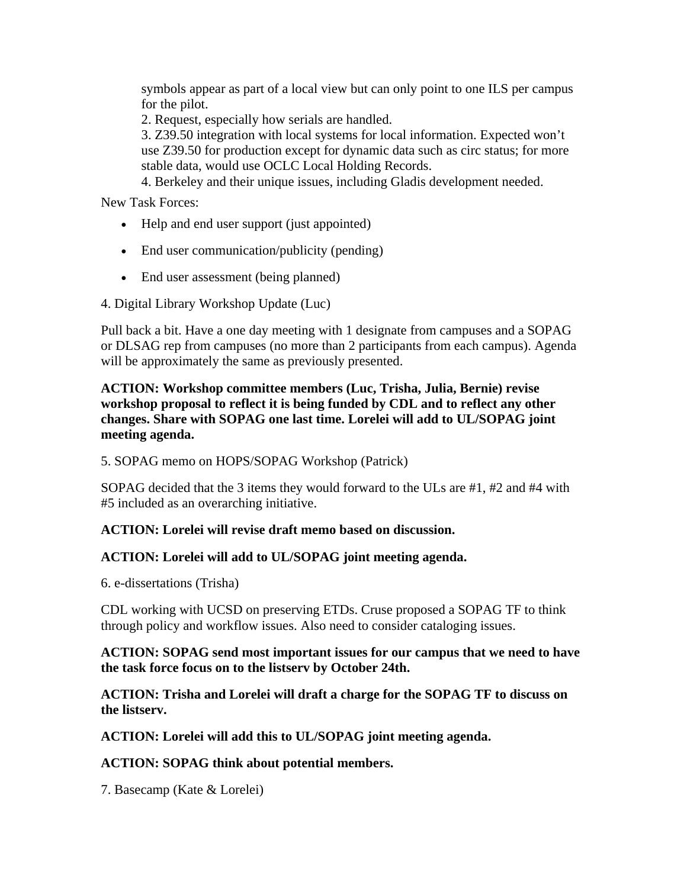symbols appear as part of a local view but can only point to one ILS per campus for the pilot.

2. Request, especially how serials are handled.

3. Z39.50 integration with local systems for local information. Expected won't use Z39.50 for production except for dynamic data such as circ status; for more stable data, would use OCLC Local Holding Records.

4. Berkeley and their unique issues, including Gladis development needed.

New Task Forces:

- Help and end user support (just appointed)
- End user communication/publicity (pending)
- End user assessment (being planned)
- 4. Digital Library Workshop Update (Luc)

Pull back a bit. Have a one day meeting with 1 designate from campuses and a SOPAG or DLSAG rep from campuses (no more than 2 participants from each campus). Agenda will be approximately the same as previously presented.

#### **ACTION: Workshop committee members (Luc, Trisha, Julia, Bernie) revise workshop proposal to reflect it is being funded by CDL and to reflect any other changes. Share with SOPAG one last time. Lorelei will add to UL/SOPAG joint meeting agenda.**

5. SOPAG memo on HOPS/SOPAG Workshop (Patrick)

SOPAG decided that the 3 items they would forward to the ULs are #1, #2 and #4 with #5 included as an overarching initiative.

### **ACTION: Lorelei will revise draft memo based on discussion.**

### **ACTION: Lorelei will add to UL/SOPAG joint meeting agenda.**

6. e-dissertations (Trisha)

CDL working with UCSD on preserving ETDs. Cruse proposed a SOPAG TF to think through policy and workflow issues. Also need to consider cataloging issues.

#### **ACTION: SOPAG send most important issues for our campus that we need to have the task force focus on to the listserv by October 24th.**

**ACTION: Trisha and Lorelei will draft a charge for the SOPAG TF to discuss on the listserv.**

**ACTION: Lorelei will add this to UL/SOPAG joint meeting agenda.**

### **ACTION: SOPAG think about potential members.**

7. Basecamp (Kate & Lorelei)